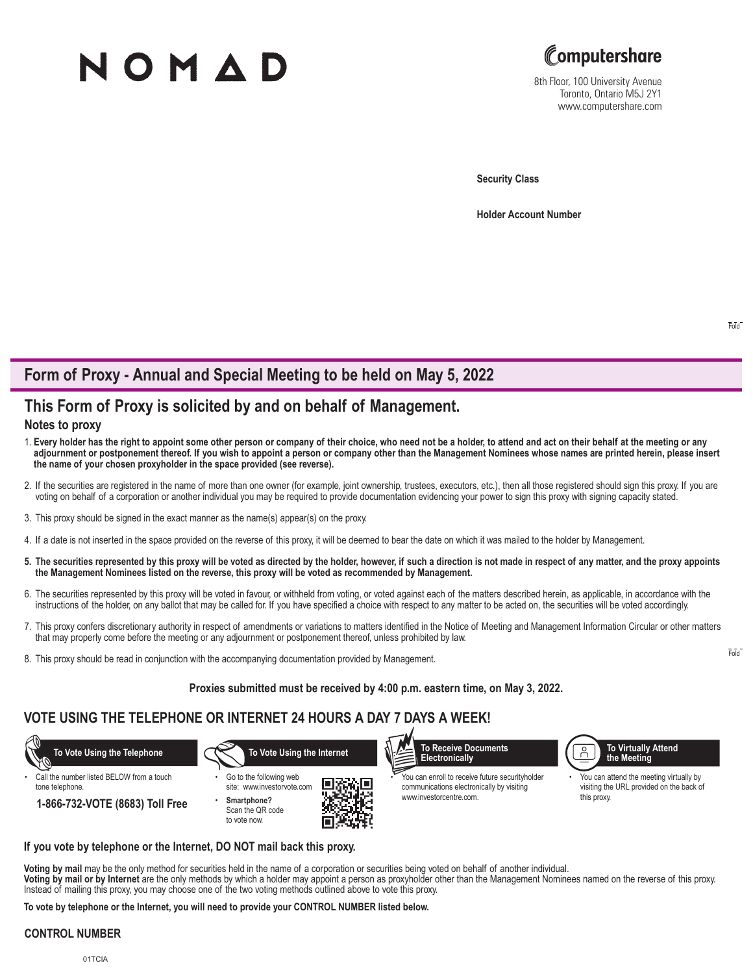# NOMAD



8th Floor, 100 University Avenue Toronto, Ontario M5J 2Y1 www.computershare.com

**Security Class**

**Holder Account Number** 

# **Form of Proxy - Annual and Special Meeting to be held on May 5, 2022**

## **This Form of Proxy is solicited by and on behalf of Management.**

## **Notes to proxy**

- 1. **Every holder has the right to appoint some other person or company of their choice, who need not be a holder, to attend and act on their behalf at the meeting or any adjournment or postponement thereof. If you wish to appoint a person or company other than the Management Nominees whose names are printed herein, please insert the name of your chosen proxyholder in the space provided (see reverse).**
- 2. If the securities are registered in the name of more than one owner (for example, joint ownership, trustees, executors, etc.), then all those registered should sign this proxy. If you are voting on behalf of a corporation or another individual you may be required to provide documentation evidencing your power to sign this proxy with signing capacity stated.
- 3. This proxy should be signed in the exact manner as the name(s) appear(s) on the proxy.
- 4. If a date is not inserted in the space provided on the reverse of this proxy, it will be deemed to bear the date on which it was mailed to the holder by Management.
- **5. The securities represented by this proxy will be voted as directed by the holder, however, if such a direction is not made in respect of any matter, and the proxy appoints the Management Nominees listed on the reverse, this proxy will be voted as recommended by Management.**
- 6. The securities represented by this proxy will be voted in favour, or withheld from voting, or voted against each of the matters described herein, as applicable, in accordance with the instructions of the holder, on any ballot that may be called for. If you have specified a choice with respect to any matter to be acted on, the securities will be voted accordingly.
- 7. This proxy confers discretionary authority in respect of amendments or variations to matters identified in the Notice of Meeting and Management Information Circular or other matters that may properly come before the meeting or any adjournment or postponement thereof, unless prohibited by law.
- 8. This proxy should be read in conjunction with the accompanying documentation provided by Management.

## **Proxies submitted must be received by 4:00 p.m. eastern time, on May 3, 2022.**

## **VOTE USING THE TELEPHONE OR INTERNET 24 HOURS A DAY 7 DAYS A WEEK!**



#### **If you vote by telephone or the Internet, DO NOT mail back this proxy.**

**Voting by mail** may be the only method for securities held in the name of a corporation or securities being voted on behalf of another individual. **Voting by mail or by Internet** are the only methods by which a holder may appoint a person as proxyholder other than the Management Nominees named on the reverse of this proxy. Instead of mailing this proxy, you may choose one of the two voting methods outlined above to vote this proxy.

**To vote by telephone or the Internet, you will need to provide your CONTROL NUMBER listed below.**

## **CONTROL NUMBER**